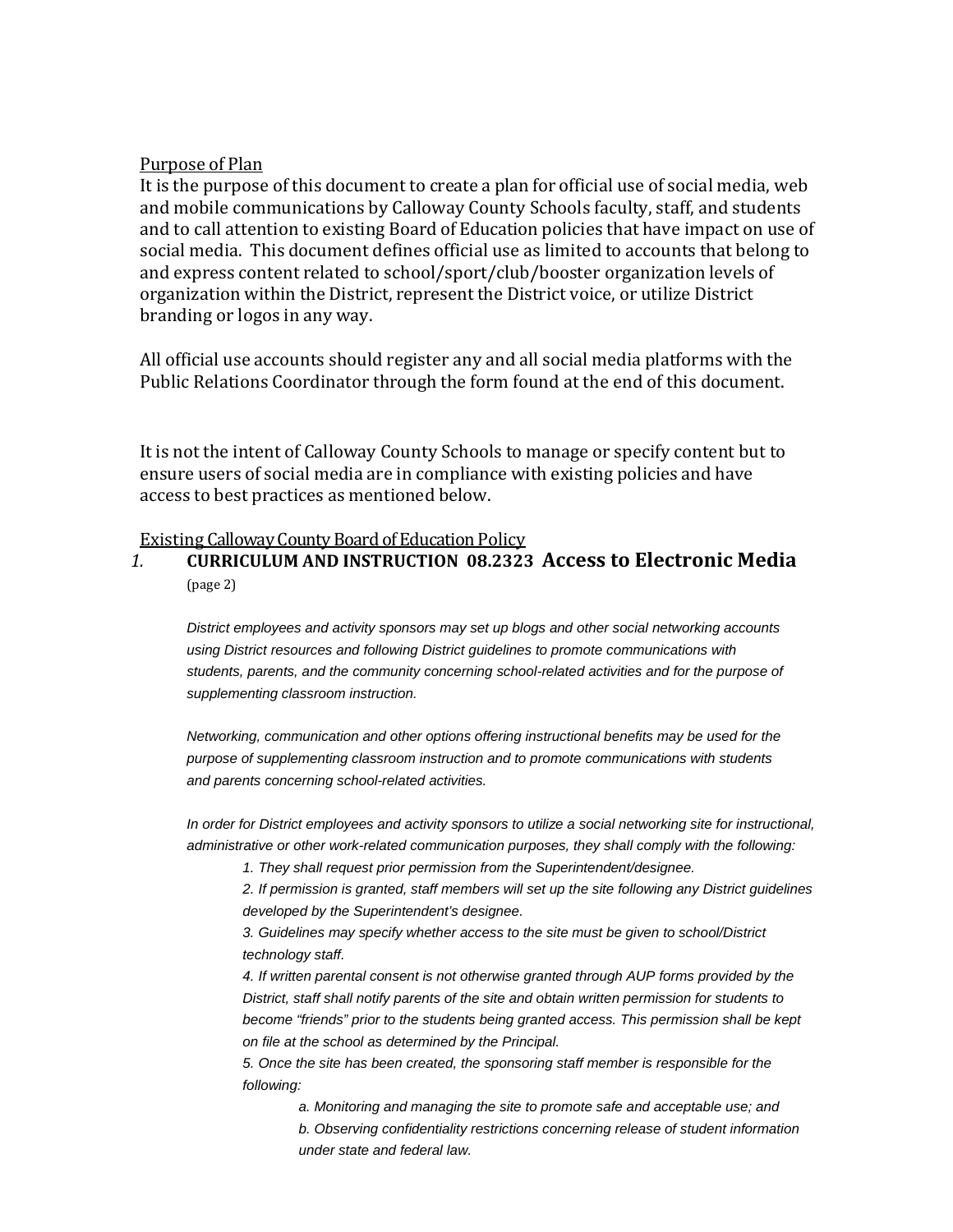#### Purpose of Plan

It is the purpose of this document to create a plan for official use of social media, web and mobile communications by Calloway County Schools faculty, staff, and students and to call attention to existing Board of Education policies that have impact on use of social media. This document defines official use as limited to accounts that belong to and express content related to school/sport/club/booster organization levels of organization within the District, represent the District voice, or utilize District branding or logos in any way.

All official use accounts should register any and all social media platforms with the Public Relations Coordinator through the form found at the end of this document.

It is not the intent of Calloway County Schools to manage or specify content but to ensure users of social media are in compliance with existing policies and have access to best practices as mentioned below.

# **Existing Calloway County Board of Education Policy<br>1. CURRICULUM AND INSTRUCTION 08.2323**

*1.* **CURRICULUM AND INSTRUCTION 08.2323 Access to Electronic Media** (page 2)

*District employees and activity sponsors may set up blogs and other social networking accounts using District resources and following District guidelines to promote communications with students, parents, and the community concerning school-related activities and for the purpose of supplementing classroom instruction.*

*Networking, communication and other options offering instructional benefits may be used for the purpose of supplementing classroom instruction and to promote communications with students and parents concerning school-related activities.*

*In order for District employees and activity sponsors to utilize a social networking site for instructional, administrative or other work-related communication purposes, they shall comply with the following:*

*1. They shall request prior permission from the Superintendent/designee.*

*2. If permission is granted, staff members will set up the site following any District guidelines developed by the Superintendent's designee.*

*3. Guidelines may specify whether access to the site must be given to school/District technology staff.*

*4. If written parental consent is not otherwise granted through AUP forms provided by the District, staff shall notify parents of the site and obtain written permission for students to become "friends" prior to the students being granted access. This permission shall be kept on file at the school as determined by the Principal.*

*5. Once the site has been created, the sponsoring staff member is responsible for the following:*

*a. Monitoring and managing the site to promote safe and acceptable use; and b. Observing confidentiality restrictions concerning release of student information under state and federal law.*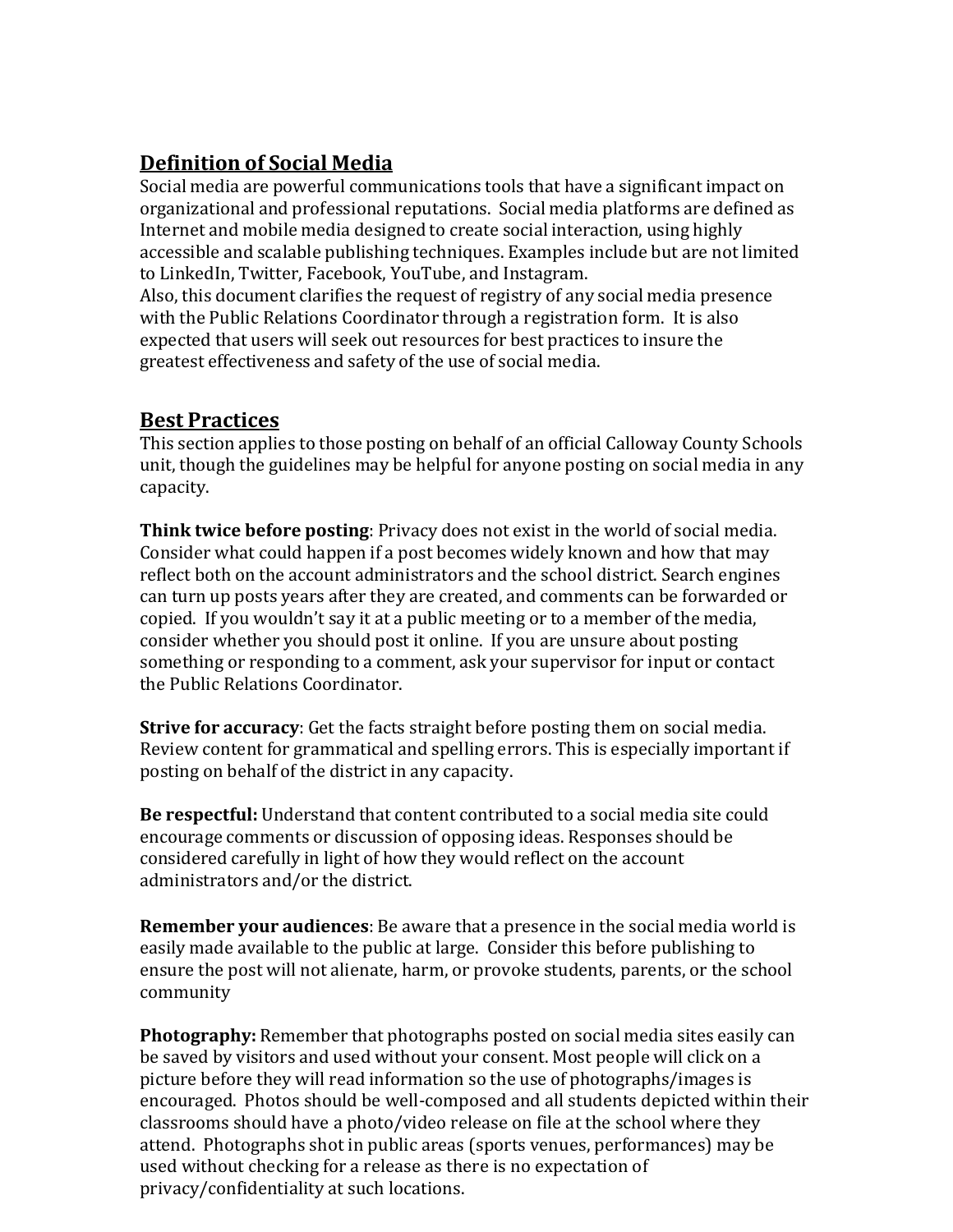## **Definition of Social Media**

Social media are powerful communications tools that have a significant impact on organizational and professional reputations. Social media platforms are defined as Internet and mobile media designed to create social interaction, using highly accessible and scalable publishing techniques. Examples include but are not limited to LinkedIn, Twitter, Facebook, YouTube, and Instagram.

Also, this document clarifies the request of registry of any social media presence with the Public Relations Coordinator through a registration form. It is also expected that users will seek out resources for best practices to insure the greatest effectiveness and safety of the use of social media.

#### **Best Practices**

This section applies to those posting on behalf of an official Calloway County Schools unit, though the guidelines may be helpful for anyone posting on social media in any capacity.

**Think twice before posting**: Privacy does not exist in the world of social media. Consider what could happen if a post becomes widely known and how that may reflect both on the account administrators and the school district. Search engines can turn up posts years after they are created, and comments can be forwarded or copied. If you wouldn't say it at a public meeting or to a member of the media, consider whether you should post it online. If you are unsure about posting something or responding to a comment, ask your supervisor for input or contact the Public Relations Coordinator.

**Strive for accuracy**: Get the facts straight before posting them on social media. Review content for grammatical and spelling errors. This is especially important if posting on behalf of the district in any capacity.

**Be respectful:** Understand that content contributed to a social media site could encourage comments or discussion of opposing ideas. Responses should be considered carefully in light of how they would reflect on the account administrators and/or the district.

**Remember your audiences**: Be aware that a presence in the social media world is easily made available to the public at large. Consider this before publishing to ensure the post will not alienate, harm, or provoke students, parents, or the school community

**Photography:** Remember that photographs posted on social media sites easily can be saved by visitors and used without your consent. Most people will click on a picture before they will read information so the use of photographs/images is encouraged. Photos should be well-composed and all students depicted within their classrooms should have a photo/video release on file at the school where they attend. Photographs shot in public areas (sports venues, performances) may be used without checking for a release as there is no expectation of privacy/confidentiality at such locations.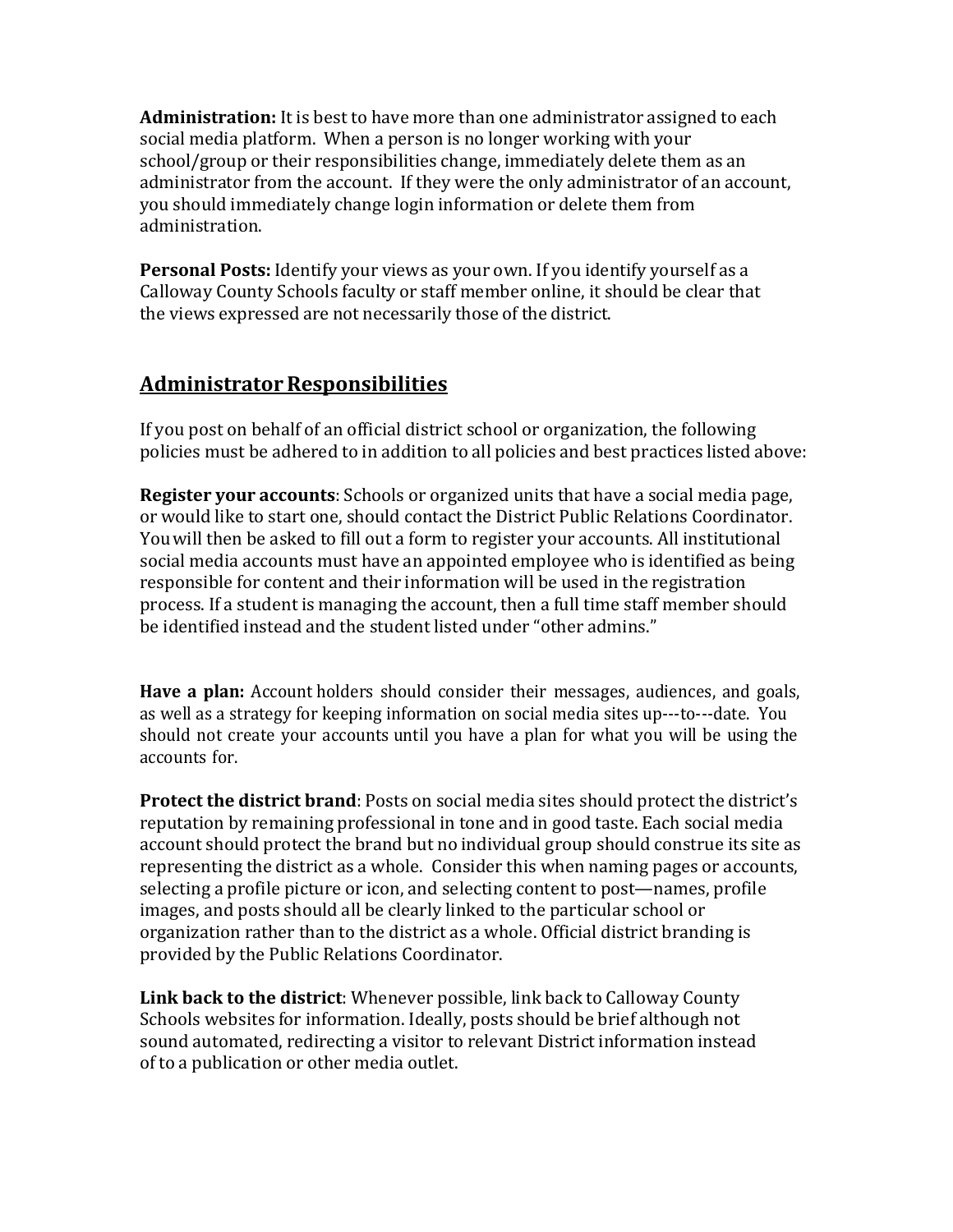**Administration:** It is best to have more than one administrator assigned to each social media platform. When a person is no longer working with your school/group or their responsibilities change, immediately delete them as an administrator from the account. If they were the only administrator of an account, you should immediately change login information or delete them from administration.

**Personal Posts:** Identify your views as your own. If you identify yourself as a Calloway County Schools faculty or staff member online, it should be clear that the views expressed are not necessarily those of the district.

### **AdministratorResponsibilities**

If you post on behalf of an official district school or organization, the following policies must be adhered to in addition to all policies and best practices listed above:

**Register your accounts**: Schools or organized units that have a social media page, or would like to start one, should contact the District Public Relations Coordinator. Youwill then be asked to fill out a form to register your accounts. All institutional social media accounts must have an appointed employee who is identified as being responsible for content and their information will be used in the registration process. If a student is managing the account, then a full time staff member should be identified instead and the student listed under "other admins."

**Have a plan:** Account holders should consider their messages, audiences, and goals, as well as a strategy for keeping information on social media sites up---to---date. You should not create your accounts until you have a plan for what you will be using the accounts for.

**Protect the district brand**: Posts on social media sites should protect the district's reputation by remaining professional in tone and in good taste. Each social media account should protect the brand but no individual group should construe its site as representing the district as a whole. Consider this when naming pages or accounts, selecting a profile picture or icon, and selecting content to post—names, profile images, and posts should all be clearly linked to the particular school or organization rather than to the district as a whole. Official district branding is provided by the Public Relations Coordinator.

**Link back to the district**: Whenever possible, link back to Calloway County Schools websites for information. Ideally, posts should be brief although not sound automated, redirecting a visitor to relevant District information instead of to a publication or other media outlet.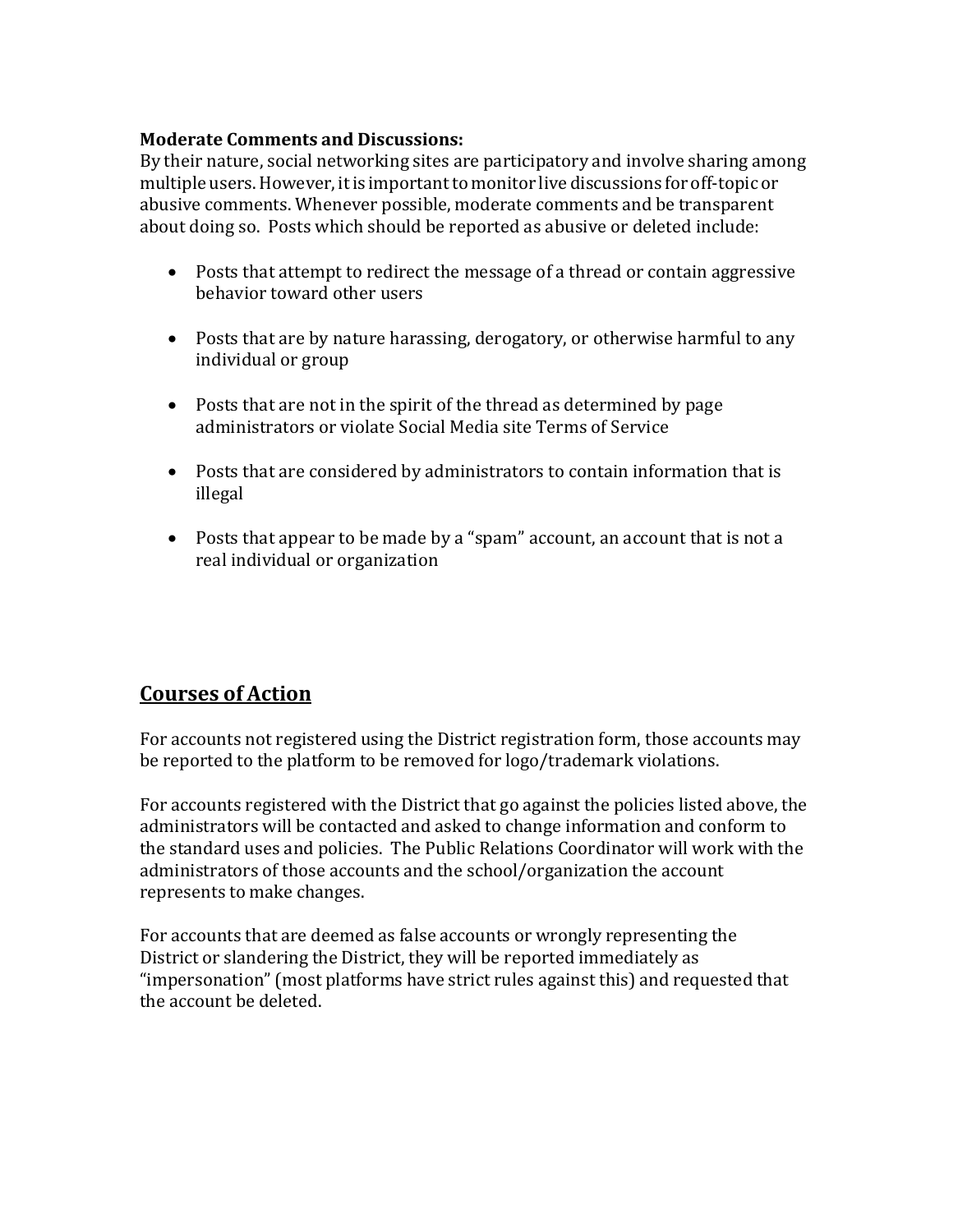#### **Moderate Comments and Discussions:**

By their nature, social networking sites are participatory and involve sharing among multiple users.However, itis importantto monitor live discussions for off-topic or abusive comments. Whenever possible, moderate comments and be transparent about doing so. Posts which should be reported as abusive or deleted include:

- Posts that attempt to redirect the message of a thread or contain aggressive behavior toward other users
- Posts that are by nature harassing, derogatory, or otherwise harmful to any individual or group
- Posts that are not in the spirit of the thread as determined by page administrators or violate Social Media site Terms of Service
- Posts that are considered by administrators to contain information that is illegal
- Posts that appear to be made by a "spam" account, an account that is not a real individual or organization

## **Courses of Action**

For accounts not registered using the District registration form, those accounts may be reported to the platform to be removed for logo/trademark violations.

For accounts registered with the District that go against the policies listed above, the administrators will be contacted and asked to change information and conform to the standard uses and policies. The Public Relations Coordinator will work with the administrators of those accounts and the school/organization the account represents to make changes.

For accounts that are deemed as false accounts or wrongly representing the District or slandering the District, they will be reported immediately as "impersonation" (most platforms have strict rules against this) and requested that the account be deleted.